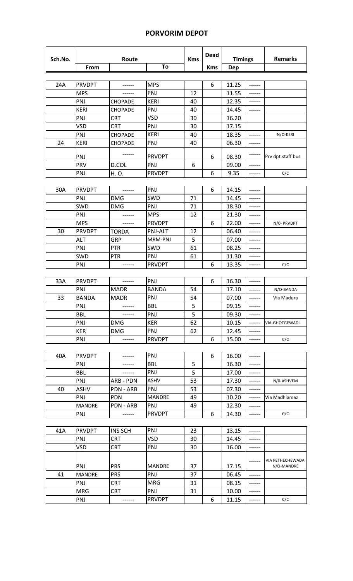## **PORVORIM DEPOT**

 $\overline{\phantom{a}}$ 

| Sch.No. |               | Route          |               | <b>Kms</b> | <b>Dead</b> | <b>Timings</b> |               | <b>Remarks</b>                 |
|---------|---------------|----------------|---------------|------------|-------------|----------------|---------------|--------------------------------|
|         | From          |                | To            |            | <b>Kms</b>  | <b>Dep</b>     |               |                                |
|         |               |                |               |            |             |                |               |                                |
| 24A     | <b>PRVDPT</b> | ------         | <b>MPS</b>    |            | 6           | 11.25          | ------        |                                |
|         | <b>MPS</b>    |                | PNJ           | 12         |             | 11.55          |               |                                |
|         | PNJ           | <b>CHOPADE</b> | <b>KERI</b>   | 40         |             | 12.35          | ------        |                                |
|         | <b>KERI</b>   | CHOPADE        | PNJ           | 40         |             | 14.45          |               |                                |
|         | PNJ           | <b>CRT</b>     | <b>VSD</b>    | 30         |             | 16.20          |               |                                |
|         | <b>VSD</b>    | <b>CRT</b>     | PNJ           | 30         |             | 17.15          |               |                                |
|         | PNJ           | CHOPADE        | <b>KERI</b>   | 40         |             | 18.35          |               | N/O-KERI                       |
| 24      | <b>KERI</b>   | <b>CHOPADE</b> | PNJ           | 40         |             | 06.30          | ------        |                                |
|         | PNJ           |                | <b>PRVDPT</b> |            | 6           | 08.30          |               | Prv dpt.staff bus              |
|         | PRV           | D.COL          | PNJ           | 6          |             | 09.00          | ------        |                                |
|         | PNJ           | H.O.           | <b>PRVDPT</b> |            | 6           | 9.35           |               | C/C                            |
|         |               |                |               |            |             |                |               |                                |
| 30A     | <b>PRVDPT</b> | ------         | PNJ           |            | 6           | 14.15          |               |                                |
|         | PNJ           | <b>DMG</b>     | SWD           | 71         |             | 14.45          | ------        |                                |
|         | SWD           | <b>DMG</b>     | PNJ           | 71         |             | 18.30          | ------        |                                |
|         | PNJ           |                | <b>MPS</b>    | 12         |             | 21.30          | ------        |                                |
|         | <b>MPS</b>    | ------         | <b>PRVDPT</b> |            | 6           | 22.00          | ------        | N/0- PRVDPT                    |
| 30      | <b>PRVDPT</b> | <b>TORDA</b>   | PNJ-ALT       | 12         |             | 06.40          | ------        |                                |
|         | <b>ALT</b>    | GRP            | MRM-PNJ       | 5          |             | 07.00          | ------        |                                |
|         | PNJ           | <b>PTR</b>     | SWD           | 61         |             | 08.25          | ------        |                                |
|         | SWD           | <b>PTR</b>     | PNJ           | 61         |             | 11.30          | ------        |                                |
|         | PNJ           | ------         | <b>PRVDPT</b> |            | 6           | 13.35          | $- - - - - -$ | C/C                            |
|         |               |                |               |            |             |                |               |                                |
| 33A     | <b>PRVDPT</b> | ------         | PNJ           |            | 6           | 16.30          | ------        |                                |
|         | PNJ           | <b>MADR</b>    | <b>BANDA</b>  | 54         |             | 17.10          | ------        | N/O-BANDA                      |
| 33      | <b>BANDA</b>  | <b>MADR</b>    | PNJ           | 54         |             | 07.00          | ------        | Via Madura                     |
|         | PNJ           | ------         | <b>BBL</b>    | 5          |             | 09.15          | ------        |                                |
|         | <b>BBL</b>    |                | PNJ           | 5          |             | 09.30          | ------        |                                |
|         | PNJ           | DMG            | <b>KER</b>    | 62         |             | 10.15          | ------        | VIA-GHOTGEWADI                 |
|         | <b>KER</b>    | <b>DMG</b>     | PNJ           | 62         |             | 12.45          | ------        |                                |
|         | PNJ           | ------         | <b>PRVDPT</b> |            | 6           | 15.00          | ------        | C/C                            |
|         |               |                |               |            |             |                |               |                                |
| 40A     | <b>PRVDPT</b> | ------         | PNJ           |            | 6           | 16.00          | ------        |                                |
|         | PNJ           | ------         | <b>BBL</b>    | 5          |             | 16.30          | ------        |                                |
|         | <b>BBL</b>    | ------         | PNJ           | 5          |             | 17.00          | ------        |                                |
|         | PNJ           | ARB - PDN      | ASHV          | 53         |             | 17.30          | ------        | N/0-ASHVEM                     |
| 40      | <b>ASHV</b>   | PDN - ARB      | PNJ           | 53         |             | 07.30          | ------        |                                |
|         | PNJ           | <b>PDN</b>     | <b>MANDRE</b> | 49         |             | 10.20          | $-----1$      | Via Madhlamaz                  |
|         | <b>MANDRE</b> | PDN - ARB      | PNJ           | 49         |             | 12.30          | ------        |                                |
|         | PNJ           |                | <b>PRVDPT</b> |            | 6           | 14.30          | ------        | C/C                            |
|         |               |                |               |            |             |                |               |                                |
| 41A     | <b>PRVDPT</b> | <b>INS SCH</b> | PNJ           | 23         |             | 13.15          | ------        |                                |
|         | PNJ           | <b>CRT</b>     | <b>VSD</b>    | 30         |             | 14.45          | ------        |                                |
|         | <b>VSD</b>    | <b>CRT</b>     | PNJ           | 30         |             | 16.00          | ------        |                                |
|         | PNJ           | <b>PRS</b>     | <b>MANDRE</b> | 37         |             | 17.15          | ------        | VIA PETHECHEWADA<br>N/O-MANDRE |
| 41      | <b>MANDRE</b> | <b>PRS</b>     | PNJ           | 37         |             | 06.45          | ------        |                                |
|         | PNJ           | <b>CRT</b>     | <b>MRG</b>    | 31         |             | 08.15          | ------        |                                |
|         | <b>MRG</b>    | <b>CRT</b>     | PNJ           | 31         |             | 10.00          | ------        |                                |
|         | PNJ           | ------         | <b>PRVDPT</b> |            | 6           | 11.15          | ------        | C/C                            |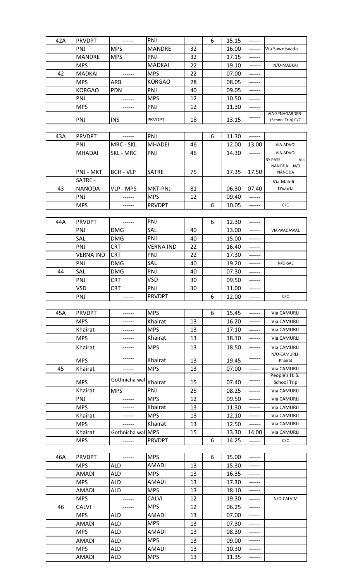| 42A | <b>PRVDPT</b>              | ------                   | PNJ                        |          | 6 | 15.15          | ------           |                        |
|-----|----------------------------|--------------------------|----------------------------|----------|---|----------------|------------------|------------------------|
|     | PNJ                        | <b>MPS</b>               | <b>MANDRE</b>              | 32       |   | 16.00          | ------           | Via Sawntwada          |
|     | <b>MANDRE</b>              | <b>MPS</b>               | PNJ                        | 32       |   | 17.15          | ------           |                        |
|     | <b>MPS</b>                 |                          | <b>MADKAI</b>              | 22       |   | 19.10          | ------           | N/O-MADKAI             |
| 42  | <b>MADKAI</b>              |                          | <b>MPS</b>                 | 22       |   | 07.00          | ------           |                        |
|     | <b>MPS</b>                 | <b>ARB</b>               | <b>KORGAO</b>              | 28       |   | 08.05          | ------           |                        |
|     | <b>KORGAO</b>              | <b>PDN</b>               | PNJ                        | 40       |   | 09.05          | ------           |                        |
|     | PNJ                        | ------                   | <b>MPS</b>                 | 12       |   | 10.50          | ------           |                        |
|     | <b>MPS</b>                 | ------                   | PNJ                        | 12       |   | 11.30          | ------           |                        |
|     |                            |                          |                            |          |   |                |                  | VIA-SPNAGARDEN-        |
|     | PNJ                        | <b>INS</b>               | <b>PRVDPT</b>              | 18       |   | 13.15          | ------           | (School Trip) C/C      |
|     |                            |                          |                            |          |   |                |                  |                        |
| 43A | <b>PRVDPT</b>              | ------                   | PNJ                        |          | 6 | 11.30          | ------           |                        |
|     | <b>PNJ</b>                 | MRC - SKL                | <b>MHADEI</b>              | 46       |   | 12.00          | 13.00            | VIA-ADVOI              |
|     | <b>MHADAI</b>              | <b>SKL - MRC</b>         | PNJ                        | 46       |   | 14.30          | ------           | VIA-ADVOI              |
|     |                            |                          |                            |          |   |                |                  | <b>BY PASS</b><br>Via  |
|     | PNJ - MKT                  | <b>BCH - VLP</b>         | <b>SATRE</b>               | 75       |   | 17.35          | 17.50            | NANODA N/0<br>NANODA   |
|     | SATRE -                    |                          |                            |          |   |                |                  |                        |
| 43  | <b>NANODA</b>              | <b>VLP - MPS</b>         | MKT-PNJ                    | 81       |   | 06.30          | 07.40            | Via Maloli -<br>D'wada |
|     | PNJ                        |                          | <b>MPS</b>                 | 12       |   | 09.40          |                  |                        |
|     | <b>MPS</b>                 |                          | <b>PRVDPT</b>              |          | 6 | 10.05          | ------           | C/C                    |
|     |                            |                          |                            |          |   |                |                  |                        |
| 44A | <b>PRVDPT</b>              | ------                   | PNJ                        |          | 6 | 12.30          | ------           |                        |
|     |                            |                          | SAL                        |          |   |                |                  |                        |
|     | PNJ                        | <b>DMG</b>               |                            | 40       |   | 13.00          | ------           | VIA-WADAWAL            |
|     | SAL                        | <b>DMG</b>               | PNJ                        | 40       |   | 15.00          | ------           |                        |
|     | <b>PNJ</b>                 | <b>CRT</b>               | <b>VERNA IND</b>           | 22       |   | 16.40          | ------           |                        |
|     | <b>VERNA IND</b>           | <b>CRT</b>               | PNJ                        | 22       |   | 17.30          | ------           |                        |
|     | PNJ                        | <b>DMG</b>               | SAL                        | 40       |   | 19.20          | ------           | N/O-SAL                |
| 44  | SAL                        | <b>DMG</b>               | PNJ                        | 40       |   | 07.30          | ------           |                        |
|     | PNJ                        | <b>CRT</b>               | <b>VSD</b>                 | 30       |   | 09.50          | ------           |                        |
|     | VSD                        | <b>CRT</b>               | PNJ                        | 30       |   | 11.00          | ------           |                        |
|     | PNJ                        | ------                   | <b>PRVDPT</b>              |          | 6 | 12.00          | ------           | C/C                    |
|     |                            |                          |                            |          |   |                |                  |                        |
| 45A | <b>PRVDPT</b>              | ------                   | <b>MPS</b>                 |          | 6 | 15.45          | ------           | Via CAMURLI            |
|     | <b>MPS</b>                 | ------                   | Khairat                    | 13       |   | 16.20          | ------           | Via CAMURLI            |
|     | Khairat                    | ------                   | <b>MPS</b>                 | 13       |   | 17.10          | ------           | Via CAMURLI            |
|     | <b>MPS</b>                 | ------                   | Khairat                    | 13       |   | 18.10          | ------           | Via CAMURLI            |
|     | Khairat                    | ------                   | <b>MPS</b>                 | 13       |   | 18.50          | ------           | Via CAMURLI            |
|     | <b>MPS</b>                 |                          | Khairat                    | 13       |   | 19.45          | ------           | N/O-CAMURLI<br>Khairat |
| 45  | Khairat                    | ------                   | <b>MPS</b>                 | 13       |   | 07.00          | ------           | Via CAMURLI            |
|     |                            |                          |                            |          |   |                |                  | People's H. S.         |
|     | <b>MPS</b>                 | Gothnicha wal            | Khairat                    | 15       |   | 07.40          | ------           | School Trip            |
|     | Khairat                    | <b>MPS</b>               | PNJ                        | 25       |   | 08.25          | ------           | Via CAMURLI            |
|     | PNJ                        | ------                   | <b>MPS</b>                 | 12       |   | 09.50          | ------           | Via CAMURLI            |
|     | <b>MPS</b>                 |                          | Khairat                    | 13       |   | 11.30          | ------           | Via CAMURLI            |
|     | Khairat                    |                          | <b>MPS</b>                 | 13       |   | 12.10          | ------           | Via CAMURLI            |
|     | <b>MPS</b>                 | ------                   | Khairat                    | 13       |   | 12.50          | ------           | Via CAMURLI            |
|     | Khairat                    | Gothnicha wal MPS        |                            | 15       |   | 13.30          | 14.00            | Via CAMURLI            |
|     | <b>MPS</b>                 | ------                   | <b>PRVDPT</b>              |          | 6 | 14.25          | ------           | C/C                    |
|     |                            |                          |                            |          |   |                |                  |                        |
| 46A | <b>PRVDPT</b>              | ------                   | <b>MPS</b>                 |          | 6 | 15.00          | ------           |                        |
|     | <b>MPS</b>                 | <b>ALD</b>               | <b>AMADI</b>               | 13       |   | 15.30          | ------           |                        |
|     | <b>AMADI</b>               | <b>ALD</b>               | <b>MPS</b>                 | 13       |   | 16.35          | ------           |                        |
|     | <b>MPS</b>                 | ALD                      | AMADI                      | 13       |   | 17.30          | ------           |                        |
|     | <b>AMADI</b>               | ALD                      | <b>MPS</b>                 | 13       |   | 18.10          | ------           |                        |
|     | <b>MPS</b>                 | ------                   | <b>CALVI</b>               | 12       |   | 19.30          | ------           | N/O-CALVIM             |
| 46  | <b>CALVI</b>               | ------                   | <b>MPS</b>                 | 12       |   | 06.25          | ------           |                        |
|     | <b>MPS</b>                 | <b>ALD</b>               | <b>AMADI</b>               | 13       |   | 07.00          | ------           |                        |
|     |                            |                          |                            |          |   |                |                  |                        |
|     |                            |                          |                            |          |   |                |                  |                        |
|     | <b>AMADI</b>               | ALD                      | <b>MPS</b>                 | 13       |   | 07.30          | ------           |                        |
|     | <b>MPS</b><br><b>AMADI</b> | <b>ALD</b><br><b>ALD</b> | <b>AMADI</b><br><b>MPS</b> | 13<br>13 |   | 08.30<br>09.00 | ------<br>------ |                        |

MPS ALD AMADI 13 10.30 ------<br>AMADI ALD MPS 13 11.35 ------AMADI ALD MPS 13 11.35 ------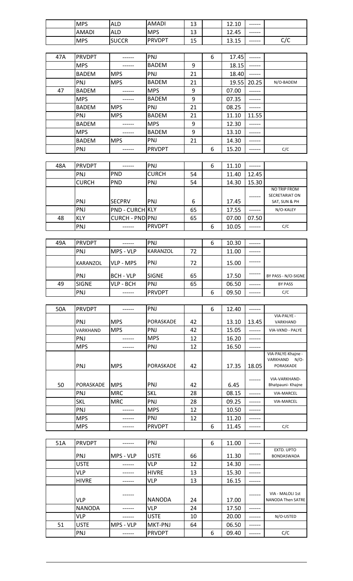| <b>MPS</b> | <b>ALD</b>           | AMADI         | 12<br>د⊥  | $\overline{\phantom{0}}$<br>$\Delta$<br>12.IU | ------ |                                              |
|------------|----------------------|---------------|-----------|-----------------------------------------------|--------|----------------------------------------------|
| AMADI      | <b>ALD</b>           | <b>MPS</b>    | 12<br>ن ک | 12.45                                         | ------ |                                              |
| <b>MPS</b> | <b>SUICCR</b><br>www | <b>PRVDPT</b> | 15<br>نبد | -<br>∍<br>л<br><b></b>                        | ------ | $\overline{\phantom{0}}$<br>$\sim$<br>ັ<br>ั |

| 47A | <b>PRVDPT</b> |            | PNJ           |    | 6 | 17.45 |        |           |
|-----|---------------|------------|---------------|----|---|-------|--------|-----------|
|     | <b>MPS</b>    |            | <b>BADEM</b>  | 9  |   | 18.15 |        |           |
|     | <b>BADEM</b>  | <b>MPS</b> | <b>PNJ</b>    | 21 |   | 18.40 |        |           |
|     | PNJ           | <b>MPS</b> | <b>BADEM</b>  | 21 |   | 19.55 | 20.25  | N/O-BADEM |
| 47  | <b>BADEM</b>  |            | <b>MPS</b>    | 9  |   | 07.00 | ----   |           |
|     | <b>MPS</b>    |            | <b>BADEM</b>  | 9  |   | 07.35 |        |           |
|     | <b>BADEM</b>  | <b>MPS</b> | <b>PNJ</b>    | 21 |   | 08.25 |        |           |
|     | PNJ           | <b>MPS</b> | <b>BADEM</b>  | 21 |   | 11.10 | 11.55  |           |
|     | <b>BADEM</b>  |            | <b>MPS</b>    | 9  |   | 12.30 |        |           |
|     | <b>MPS</b>    |            | <b>BADEM</b>  | 9  |   | 13.10 |        |           |
|     | <b>BADEM</b>  | <b>MPS</b> | <b>PNJ</b>    | 21 |   | 14.30 | ------ |           |
|     | PNJ           |            | <b>PRVDPT</b> |    | 6 | 15.20 | -----  | C/C       |

| 48A | <b>PRVDPT</b> |                        | <b>PNJ</b>     |    | 6 | 11.10 | ------ |                       |
|-----|---------------|------------------------|----------------|----|---|-------|--------|-----------------------|
|     | PNJ           | <b>PND</b>             | <b>CURCH</b>   | 54 |   | 11.40 | 12.45  |                       |
|     | <b>CURCH</b>  | PND                    | <b>PNJ</b>     | 54 |   | 14.30 | 15.30  |                       |
|     |               |                        |                |    |   |       |        | <b>NO TRIP FROM</b>   |
|     |               |                        |                |    |   |       |        | <b>SECRETARIAT ON</b> |
|     | <b>PNJ</b>    | <b>SECPRV</b>          | <b>PNJ</b>     | 6  |   | 17.45 |        | SAT, SUN & PH         |
|     | <b>PNJ</b>    | <b>PND - CURCH KLY</b> |                | 65 |   | 17.55 |        | N/O-KALEY             |
| 48  | <b>KLY</b>    | CURCH - PND PNJ        |                | 65 |   | 07.00 | 07.50  |                       |
|     | PNJ           |                        | <b>IPRVDPT</b> |    | 6 | 10.05 |        | C/C                   |

| 49A | <b>PRVDPT</b> | ------           | <b>PNJ</b>      |    | 6 | 10.30 |                     |
|-----|---------------|------------------|-----------------|----|---|-------|---------------------|
|     | PNJ           | MPS - VLP        | <b>KARANZOL</b> | 72 |   | 11.00 |                     |
|     | KARANZOL      | VLP - MPS        | <b>IPNJ</b>     | 72 |   | 15.00 |                     |
|     | <b>PNJ</b>    | <b>BCH - VLP</b> | <b>SIGNE</b>    | 65 |   | 17.50 | BY PASS - N/O-SIGNE |
| 49  | <b>SIGNE</b>  | VLP - BCH        | <b>PNJ</b>      | 65 |   | 06.50 | <b>BY PASS</b>      |
|     | PNJ           |                  | <b>PRVDPT</b>   |    | 6 | 09.50 | C/C                 |

| 50A | <b>PRVDPT</b>    |            | PNJ              |    | 6 | 12.40 | ------ |                                          |
|-----|------------------|------------|------------------|----|---|-------|--------|------------------------------------------|
|     | <b>PNJ</b>       | <b>MPS</b> | <b>PORASKADE</b> | 42 |   | 13.10 | 13.45  | VIA-PALYE -<br>VARKHAND                  |
|     |                  |            |                  |    |   |       |        |                                          |
|     | VARKHAND         | <b>MPS</b> | <b>PNJ</b>       | 42 |   | 15.05 |        | VIA-VKND - PALYE                         |
|     | <b>PNJ</b>       |            | <b>MPS</b>       | 12 |   | 16.20 |        |                                          |
|     | <b>MPS</b>       |            | PNJ              | 12 |   | 16.50 | ------ |                                          |
|     |                  |            |                  |    |   |       |        | VIA-PALYE-Khajne -<br>VARKHAND<br>$N/O-$ |
|     | <b>PNJ</b>       | <b>MPS</b> | PORASKADE        | 42 |   | 17.35 | 18.05  | PORASKADE                                |
| 50  | <b>PORASKADE</b> | <b>MPS</b> | PNJ              | 42 |   | 6.45  |        | VIA-VARKHAND-<br>Bhatpauni- Khajne       |
|     | PNJ              | <b>MRC</b> | <b>SKL</b>       | 28 |   | 08.15 | ------ | <b>VIA-MARCEL</b>                        |
|     | <b>SKL</b>       | <b>MRC</b> | <b>PNJ</b>       | 28 |   | 09.25 |        | <b>VIA-MARCEL</b>                        |
|     | PNJ              |            | <b>MPS</b>       | 12 |   | 10.50 |        |                                          |
|     | <b>MPS</b>       |            | <b>PNJ</b>       | 12 |   | 11.20 |        |                                          |
|     | <b>MPS</b>       |            | <b>PRVDPT</b>    |    | 6 | 11.45 |        | C/C                                      |

| 51A | <b>PRVDPT</b> |           | PNJ           |    | 6 | 11.00 | .     |                                              |
|-----|---------------|-----------|---------------|----|---|-------|-------|----------------------------------------------|
|     |               |           |               |    |   |       |       | EXTD. UPTO                                   |
|     | PNJ           | MPS - VLP | <b>USTE</b>   | 66 |   | 11.30 |       | <b>BONDASWADA</b>                            |
|     | <b>USTE</b>   |           | <b>VLP</b>    | 12 |   | 14.30 | ----- |                                              |
|     | <b>VLP</b>    |           | <b>HIVRE</b>  | 13 |   | 15.30 | .     |                                              |
|     | <b>HIVRE</b>  |           | <b>VLP</b>    | 13 |   | 16.15 | ----- |                                              |
|     | <b>VLP</b>    |           | <b>NANODA</b> | 24 |   | 17.00 |       | VIA - MALOLI 1st<br><b>NANODA Then SATRE</b> |
|     | <b>NANODA</b> |           | <b>VLP</b>    | 24 |   | 17.50 |       |                                              |
|     | <b>VLP</b>    |           | <b>USTE</b>   | 10 |   | 20.00 |       | N/O-USTED                                    |
| 51  | <b>USTE</b>   | MPS - VLP | MKT-PNJ       | 64 |   | 06.50 | ----- |                                              |
|     | PNJ           |           | <b>PRVDPT</b> |    | 6 | 09.40 |       | C/C                                          |
|     |               |           |               |    |   |       |       |                                              |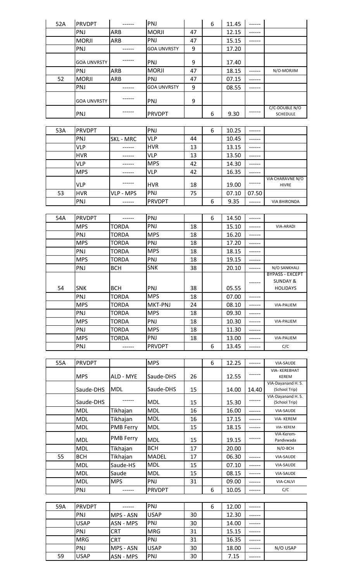| 52A | <b>PRVDPT</b>      | ------           | PNJ                |    | 6 | 11.45 | ------        |                                    |
|-----|--------------------|------------------|--------------------|----|---|-------|---------------|------------------------------------|
|     | PNJ                | <b>ARB</b>       | <b>MORJI</b>       | 47 |   | 12.15 |               |                                    |
|     | <b>MORJI</b>       | ARB              | PNJ                | 47 |   | 15.15 | $- - - - - -$ |                                    |
|     | PNJ                | ------           | <b>GOA UNVRSTY</b> | 9  |   | 17.20 |               |                                    |
|     |                    |                  |                    |    |   |       |               |                                    |
|     | <b>GOA UNVRSTY</b> |                  | PNJ                | 9  |   | 17.40 |               |                                    |
|     | PNJ                | ARB              | <b>MORJI</b>       | 47 |   | 18.15 |               | N/O-MORJIM                         |
| 52  | <b>MORJI</b>       | ARB              | PNJ                | 47 |   | 07.15 | ------        |                                    |
|     | PNJ                |                  | <b>GOA UNVRSTY</b> | 9  |   | 08.55 |               |                                    |
|     |                    |                  |                    |    |   |       |               |                                    |
|     | GOA UNVRSTY        |                  | PNJ                | 9  |   |       |               |                                    |
|     |                    |                  |                    |    |   |       | ------        | C/C-DOUBLE N/O                     |
|     | PNJ                |                  | <b>PRVDPT</b>      |    | 6 | 9.30  |               | <b>SCHEDULE</b>                    |
|     |                    |                  |                    |    |   |       |               |                                    |
| 53A | <b>PRVDPT</b>      |                  | PNJ                |    | 6 | 10.25 | ------        |                                    |
|     | PNJ                | SKL - MRC        | VLP                | 44 |   | 10.45 | ------        |                                    |
|     | <b>VLP</b>         | ------           | <b>HVR</b>         | 13 |   | 13.15 | ------        |                                    |
|     | <b>HVR</b>         | ------           | <b>VLP</b>         | 13 |   | 13.50 | ------        |                                    |
|     | <b>VLP</b>         |                  | <b>MPS</b>         | 42 |   | 14.30 | ------        |                                    |
|     | <b>MPS</b>         |                  | VLP                | 42 |   | 16.35 | ------        |                                    |
|     |                    |                  |                    |    |   |       | ------        | VIA CHARAVNE N/O                   |
|     | <b>VLP</b>         |                  | <b>HVR</b>         | 18 |   | 19.00 |               | <b>HIVRE</b>                       |
| 53  | <b>HVR</b>         | VLP - MPS        | PNJ                | 75 |   | 07.10 | 07.50         |                                    |
|     | PNJ                |                  | <b>PRVDPT</b>      |    | 6 | 9.35  | ------        | <b>VIA BHIRONDA</b>                |
|     |                    |                  |                    |    |   |       |               |                                    |
| 54A | <b>PRVDPT</b>      | ------           | PNJ                |    | 6 | 14.50 | ------        |                                    |
|     | <b>MPS</b>         | TORDA            | PNJ                | 18 |   | 15.10 | ------        | VIA-ARADI                          |
|     | PNJ                | TORDA            | <b>MPS</b>         | 18 |   | 16.20 | ------        |                                    |
|     | <b>MPS</b>         | <b>TORDA</b>     | PNJ                | 18 |   | 17.20 | ------        |                                    |
|     | PNJ                | <b>TORDA</b>     | <b>MPS</b>         | 18 |   | 18.15 | ------        |                                    |
|     | <b>MPS</b>         | TORDA            | PNJ                | 18 |   | 19.15 | ------        |                                    |
|     | PNJ                | <b>BCH</b>       | <b>SNK</b>         | 38 |   | 20.10 | ------        | N/O SANKHALI                       |
|     |                    |                  |                    |    |   |       |               | <b>RYPASS - FXCFPT</b>             |
|     |                    |                  |                    |    |   |       |               | <b>SUNDAY &amp;</b>                |
| 54  | <b>SNK</b>         | <b>BCH</b>       | PNJ                | 38 |   | 05.55 |               | <b>HOLIDAYS</b>                    |
|     | PNJ                | <b>TORDA</b>     | <b>MPS</b>         | 18 |   | 07.00 | ------        |                                    |
|     | <b>MPS</b>         | <b>TORDA</b>     | MKT-PNJ            | 24 |   | 08.10 | ------        | VIA-PALIEM                         |
|     | PNJ                | <b>TORDA</b>     | <b>MPS</b>         | 18 |   | 09.30 |               |                                    |
|     | <b>MPS</b>         | <b>TORDA</b>     | PNJ                | 18 |   | 10.30 | ------        | VIA-PALIEM                         |
|     | PNJ                | <b>TORDA</b>     | <b>MPS</b>         | 18 |   | 11.30 | -----         |                                    |
|     | <b>MPS</b>         | <b>TORDA</b>     | PNJ                | 18 |   | 13.00 | ------        | VIA-PALIEM                         |
|     | PNJ                | ------           | <b>PRVDPT</b>      |    | 6 | 13.45 | ------        | C/C                                |
|     |                    |                  |                    |    |   |       |               |                                    |
| 55A | <b>PRVDPT</b>      |                  | <b>MPS</b>         |    | 6 | 12.25 | ------        | VIA-SAUDE                          |
|     |                    |                  |                    |    |   |       |               | VIA-KEREBHAT                       |
|     | <b>MPS</b>         | ALD - MYE        | Saude-DHS          | 26 |   | 12.55 |               | <b>KEREM</b>                       |
|     |                    |                  |                    |    |   |       |               | VIA-Dayanand H.S.                  |
|     | Saude-DHS          | <b>MDL</b>       | Saude-DHS          | 15 |   | 14.00 | 14.40         | (School Trip)                      |
|     | Saude-DHS          |                  | <b>MDL</b>         | 15 |   | 15.30 | ------        | VIA-Dayanand H.S.<br>(School Trip) |
|     | <b>MDL</b>         | Tikhajan         | <b>MDL</b>         | 16 |   | 16.00 | ------        | VIA-SAUDE                          |
|     | <b>MDL</b>         | Tikhajan         | <b>MDL</b>         | 16 |   | 17.15 | ------        | VIA-KEREM                          |
|     | <b>MDL</b>         | <b>PMB Ferry</b> | <b>MDL</b>         | 15 |   | 18.15 | ------        | <b>VIA-KEREM</b>                   |
|     |                    |                  |                    |    |   |       |               | VIA-Kerem-                         |
|     | <b>MDL</b>         | <b>PMB Ferry</b> | <b>MDL</b>         | 15 |   | 19.15 |               | Pandvwada                          |
|     | <b>MDL</b>         | Tikhajan         | <b>BCH</b>         | 17 |   | 20.00 |               | N/O-BCH                            |
| 55  | <b>BCH</b>         | Tikhajan         | <b>MADEL</b>       | 17 |   | 06.30 | ------        | VIA-SAUDE                          |
|     | <b>MDL</b>         | Saude-HS         | <b>MDL</b>         | 15 |   | 07.10 |               | VIA-SAUDE                          |
|     | <b>MDL</b>         | Saude            | <b>MDL</b>         | 15 |   | 08.15 | ------        | VIA-SAUDE                          |
|     | <b>MDL</b>         | <b>MPS</b>       | PNJ                | 31 |   | 09.00 | -----         | <b>VIA-CALVI</b>                   |
|     | PNJ                | ------           | <b>PRVDPT</b>      |    | 6 | 10.05 | ------        | C/C                                |
|     |                    |                  |                    |    |   |       |               |                                    |
| 59A | <b>PRVDPT</b>      | -------          | PNJ                |    | 6 | 12.00 | -------       |                                    |
|     | PNJ                | MPS - ASN        | <b>USAP</b>        | 30 |   | 12.30 | ------        |                                    |
|     | <b>USAP</b>        | ASN - MPS        | PNJ                | 30 |   | 14.00 |               |                                    |
|     |                    |                  |                    |    |   |       |               |                                    |

PNJ |CRT |MRG | 31 | | 15.15 | ------MRG CRT PNJ 31 16.35 ------

59 | USAP | ASN - MPS | PNJ | 30 | | 7.15 | ------

PNJ MPS - ASN USAP 30 18.00 ------ N/O USAP<br>USAP ASN - MPS PNJ 30 7.15 ------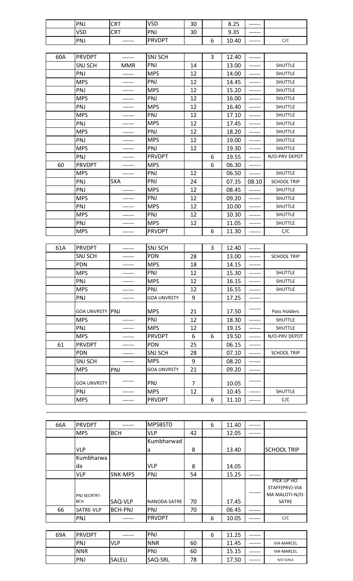| PNJ        | <b>CRT</b>    | <b>VSD</b>    | 30 |             | つに<br>o<br>د∠.ه | ------ |     |
|------------|---------------|---------------|----|-------------|-----------------|--------|-----|
| <b>VSD</b> | <b>CRT</b>    | PNJ           | 30 |             | 9.35<br>a       | ------ |     |
| PNJ        | $- - - - - -$ | <b>PRVDPT</b> |    | -<br>∽<br>ັ | 10.40           | ------ | C/C |

| 60A | <b>PRVDPT</b>  |            | <b>SNJ SCH</b> |    | 3 | 12.40 | ------ |                    |
|-----|----------------|------------|----------------|----|---|-------|--------|--------------------|
|     | <b>SNJ SCH</b> | <b>MMR</b> | PNJ            | 14 |   | 13.00 | ------ | <b>SHUTTLE</b>     |
|     | PNJ            |            | <b>MPS</b>     | 12 |   | 14.00 | ------ | <b>SHUTTLE</b>     |
|     | <b>MPS</b>     |            | PNJ            | 12 |   | 14.45 | ------ | <b>SHUTTLE</b>     |
|     | PNJ            |            | <b>MPS</b>     | 12 |   | 15.20 | ------ | SHUTTLE            |
|     | <b>MPS</b>     |            | PNJ            | 12 |   | 16.00 | ------ | <b>SHUTTLE</b>     |
|     | PNJ            |            | <b>MPS</b>     | 12 |   | 16.40 | ------ | <b>SHUTTLE</b>     |
|     | <b>MPS</b>     |            | PNJ            | 12 |   | 17.10 |        | <b>SHUTTLE</b>     |
|     | PNJ            |            | <b>MPS</b>     | 12 |   | 17.45 | ------ | <b>SHUTTLE</b>     |
|     | <b>MPS</b>     |            | PNJ            | 12 |   | 18.20 | ------ | SHUTTLE            |
|     | PNJ            |            | <b>MPS</b>     | 12 |   | 19.00 | ------ | SHUTTLE            |
|     | <b>MPS</b>     |            | PNJ            | 12 |   | 19.30 | ------ | <b>SHUTTLE</b>     |
|     | PNJ            |            | <b>PRVDPT</b>  |    | 6 | 19.55 | ------ | N/O-PRV DEPOT      |
| 60  | <b>PRVDPT</b>  |            | <b>MPS</b>     |    | 6 | 06.30 | ------ |                    |
|     | <b>MPS</b>     |            | PNJ            | 12 |   | 06.50 | ------ | SHUTTLE            |
|     | PNJ            | <b>SXA</b> | PNJ            | 24 |   | 07.35 | 08.10  | <b>SCHOOL TRIP</b> |
|     | PNJ            |            | <b>MPS</b>     | 12 |   | 08.45 | ------ | <b>SHUTTLE</b>     |
|     | <b>MPS</b>     |            | PNJ            | 12 |   | 09.20 |        | <b>SHUTTLE</b>     |
|     | PNJ            |            | <b>MPS</b>     | 12 |   | 10.00 | ------ | <b>SHUTTLE</b>     |
|     | <b>MPS</b>     |            | PNJ            | 12 |   | 10.30 | ------ | <b>SHUTTLE</b>     |
|     | PNJ            |            | <b>MPS</b>     | 12 |   | 11.05 | ------ | SHUTTLE            |
|     | <b>MPS</b>     |            | <b>PRVDPT</b>  |    | 6 | 11.30 | ------ | C/C                |

| 61A | <b>PRVDPT</b>          |     | <b>SNJ SCH</b>     |    | 3 | 12.40 | ------ |                    |
|-----|------------------------|-----|--------------------|----|---|-------|--------|--------------------|
|     | <b>SNJ SCH</b>         |     | <b>PDN</b>         | 28 |   | 13.00 | ------ | <b>SCHOOL TRIP</b> |
|     | <b>PDN</b>             |     | <b>MPS</b>         | 18 |   | 14.15 | ------ |                    |
|     | <b>MPS</b>             |     | PNJ                | 12 |   | 15.30 | ------ | <b>SHUTTLE</b>     |
|     | PNJ                    |     | <b>MPS</b>         | 12 |   | 16.15 | ------ | <b>SHUTTLE</b>     |
|     | <b>MPS</b>             |     | PNJ                | 12 |   | 16.55 | ------ | <b>SHUTTLE</b>     |
|     | PNJ                    |     | <b>GOA UNVRSTY</b> | 9  |   | 17.25 | ------ |                    |
|     | <b>GOA UNVRSTY PNJ</b> |     | <b>MPS</b>         | 21 |   | 17.50 |        | Pass Holders       |
|     | <b>MPS</b>             |     | PNJ                | 12 |   | 18.30 | ------ | <b>SHUTTLE</b>     |
|     | PNJ                    |     | <b>MPS</b>         | 12 |   | 19.15 | ------ | <b>SHUTTLE</b>     |
|     | <b>MPS</b>             |     | <b>PRVDPT</b>      | 6  | 6 | 19.50 | ------ | N/O-PRV DEPOT      |
| 61  | <b>PRVDPT</b>          |     | <b>PDN</b>         | 25 |   | 06.15 |        |                    |
|     | <b>PDN</b>             |     | <b>SNJ SCH</b>     | 28 |   | 07.10 |        | <b>SCHOOL TRIP</b> |
|     | <b>SNJ SCH</b>         |     | <b>MPS</b>         | 9  |   | 08.20 |        |                    |
|     | <b>MPS</b>             | PNJ | <b>GOA UNVRSTY</b> | 21 |   | 09.20 |        |                    |
|     | <b>GOA UNVRSTY</b>     |     | PNJ                | 7  |   | 10.05 |        |                    |
|     | PNJ                    |     | <b>MPS</b>         | 12 |   | 10.45 |        | <b>SHUTTLE</b>     |
|     | <b>MPS</b>             |     | <b>PRVDPT</b>      |    | 6 | 11.10 |        | C/C                |

| <b>PRVDPT</b>              |                | <b>MPSBSTD</b> |                                                                                      | 6 | 11.40 | ----- |                                                         |
|----------------------------|----------------|----------------|--------------------------------------------------------------------------------------|---|-------|-------|---------------------------------------------------------|
| <b>MPS</b>                 | <b>BCH</b>     | <b>VLP</b>     | 42                                                                                   |   | 12.05 |       |                                                         |
|                            |                |                |                                                                                      |   |       |       |                                                         |
| <b>VLP</b>                 |                |                | 8                                                                                    |   | 13.40 |       | <b>SCHOOL TRIP</b>                                      |
| Kumbharwa                  |                |                |                                                                                      |   |       |       |                                                         |
| da                         |                |                | 8                                                                                    |   | 14.05 |       |                                                         |
| <b>VLP</b>                 | SNK-MPS        |                | 54                                                                                   |   | 15.25 | ----- |                                                         |
| PNJ SECRTRT-<br><b>BCH</b> | SAQ-VLP        |                | 70                                                                                   |   | 17.45 |       | PICK UP HO<br>STAFF(PRV)-VIA<br>MA MALOTI-N/O-<br>SATRE |
| SATRE-VLP                  | <b>BCH-PNJ</b> |                | 70                                                                                   |   | 06.45 |       |                                                         |
| PNJ                        |                |                |                                                                                      | 6 | 10.05 |       | C/C                                                     |
|                            |                |                | Kumbharwad<br>la<br><b>VLP</b><br><b>PNJ</b><br>NANODA-SATRE<br>PNJ<br><b>PRVDPT</b> |   |       |       |                                                         |

| 69A | <b>IPRVDPT</b> | ------     | <b>PNJ</b>     |    | ∽<br>o | 11.25 | $- - - - - -$ |                   |
|-----|----------------|------------|----------------|----|--------|-------|---------------|-------------------|
|     | PNJ            | <b>VLP</b> | <b>NNR</b>     | 60 |        | 11.45 | ------        | <b>VIA-MARCEL</b> |
|     | <b>NNR</b>     |            | <b>PNJ</b>     | 60 |        | 15.15 |               | <b>VIA-MARCEL</b> |
|     | <b>PNJ</b>     | SALELI     | <b>SAQ-SRL</b> | 78 |        | 17.50 | ------        | N/O SURLA         |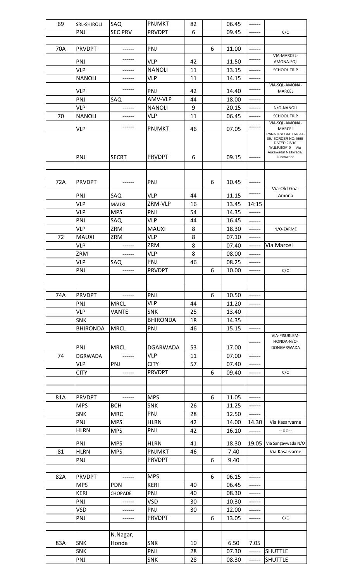| 69  | SRL-SHIROLI       | SAQ            | <b>PNJMKT</b>   | 82       |   | 06.45          | ------           |                                                         |
|-----|-------------------|----------------|-----------------|----------|---|----------------|------------------|---------------------------------------------------------|
|     | PNJ               | <b>SEC PRV</b> | <b>PRVDPT</b>   | 6        |   | 09.45          | ------           | C/C                                                     |
|     |                   |                |                 |          |   |                |                  |                                                         |
| 70A | <b>PRVDPT</b>     | ------         | PNJ             |          | 6 | 11.00          | ------           |                                                         |
|     |                   |                |                 |          |   |                |                  | VIA-MARCEL-                                             |
|     | PNJ               |                | <b>VLP</b>      | 42       |   | 11.50          | ------           | AMONA-SQL                                               |
|     | <b>VLP</b>        | ------         | <b>NANOLI</b>   | 11       |   | 13.15          | ------           | <b>SCHOOL TRIP</b>                                      |
|     | <b>NANOLI</b>     | ------         | <b>VLP</b>      | 11       |   | 14.15          | ------           |                                                         |
|     |                   |                |                 |          |   |                |                  | VIA-SQL-AMONA-                                          |
|     | <b>VLP</b>        |                | PNJ             | 42       |   | 14.40          | ------           | MARCEL                                                  |
|     | PNJ               | SAQ            | AMV-VLP         | 44       |   | 18.00          | ------           |                                                         |
|     | <b>VLP</b>        |                | <b>NANOLI</b>   | 9        |   | 20.15          | ------           | N/O-NANOLI                                              |
| 70  | <b>NANOLI</b>     | ------         | VLP             | 11       |   | 06.45          | ------           | <b>SCHOOL TRIP</b>                                      |
|     |                   | ------         |                 |          |   |                | ------           | VIA-SQL-AMONA-                                          |
|     | <b>VLP</b>        |                | <b>PNJMKT</b>   | 46       |   | 07.05          |                  | MARCEL<br>PANAJI-SECRETARIAT-                           |
|     |                   |                |                 |          |   |                |                  | 09.15ORDER NO.1558<br>DATED 2/3/10<br>W.E.F.8/3//10 Via |
|     |                   |                |                 |          |   |                |                  | Askawada/ Naikwada/                                     |
|     | PNJ               | <b>SECRT</b>   | <b>PRVDPT</b>   | 6        |   | 09.15          |                  | Junaswada                                               |
|     |                   |                |                 |          |   |                |                  |                                                         |
|     |                   |                |                 |          |   |                |                  |                                                         |
| 72A | <b>PRVDPT</b>     | ------         | PNJ             |          | 6 | 10.45          | ------           |                                                         |
|     |                   |                |                 |          |   |                | ------           | Via-Old Goa-                                            |
|     | PNJ               | SAQ            | VLP             | 44       |   | 11.15          |                  | Amona                                                   |
|     | <b>VLP</b>        | <b>MAUXI</b>   | ZRM-VLP         | 16       |   | 13.45          | 14:15            |                                                         |
|     | <b>VLP</b>        | <b>MPS</b>     | PNJ             | 54       |   | 14.35          | ------           |                                                         |
|     | PNJ               | SAQ            | <b>VLP</b>      | 44       |   | 16.45          | ------           |                                                         |
|     | <b>VLP</b>        | ZRM            | <b>MAUXI</b>    | 8        |   | 18.30          | ------           | N/O-ZARME                                               |
| 72  | <b>MAUXI</b>      | ZRM            | <b>VLP</b>      | 8        |   | 07.10          | ------           |                                                         |
|     | <b>VLP</b>        | ------         | ZRM             | 8        |   | 07.40          | ------           | Via Marcel                                              |
|     | ZRM               | ------         | <b>VLP</b>      | 8        |   | 08.00          | ------           |                                                         |
|     | <b>VLP</b>        | SAQ            | PNJ             | 46       |   | 08.25          | -----            |                                                         |
|     | PNJ               |                | <b>PRVDPT</b>   |          | 6 | 10.00          | ------           | C/C                                                     |
|     |                   |                |                 |          |   |                |                  |                                                         |
|     |                   |                |                 |          |   |                |                  |                                                         |
|     |                   |                |                 |          |   |                |                  |                                                         |
| 74A | <b>PRVDPT</b>     | ------         | PNJ             |          | 6 | 10.50          | ------           |                                                         |
|     | PNJ               | <b>MRCL</b>    | <b>VLP</b>      | 44       |   | 11.20          | ------           |                                                         |
|     | <b>VLP</b>        | <b>VANTE</b>   | <b>SNK</b>      | 25       |   | 13.40          |                  |                                                         |
|     | <b>SNK</b>        |                | <b>BHIRONDA</b> | 18       |   | 14.35          |                  |                                                         |
|     | <b>BHIRONDA</b>   | <b>MRCL</b>    | PNJ             | 46       |   | 15.15          | ------           |                                                         |
|     |                   |                |                 |          |   |                |                  | VIA-PISURLEM-<br>HONDA-N/O-                             |
|     | PNJ               | <b>MRCL</b>    | <b>DGARWADA</b> | 53       |   | 17.00          | ------           | DONGARWADA                                              |
| 74  | <b>DGRWADA</b>    | ------         | <b>VLP</b>      | 11       |   | 07.00          | ------           |                                                         |
|     | <b>VLP</b>        | PNJ            | <b>CITY</b>     | 57       |   | 07.40          | ------           |                                                         |
|     | <b>CITY</b>       | ------         | <b>PRVDPT</b>   |          | 6 | 09.40          | ------           | C/C                                                     |
|     |                   |                |                 |          |   |                |                  |                                                         |
|     |                   |                |                 |          |   |                |                  |                                                         |
|     |                   |                |                 |          |   |                |                  |                                                         |
| 81A | <b>PRVDPT</b>     | ------         | <b>MPS</b>      |          | 6 | 11.05          | ------           |                                                         |
|     | <b>MPS</b>        | <b>BCH</b>     | <b>SNK</b>      | 26       |   | 11.25          | ------           |                                                         |
|     | <b>SNK</b>        | <b>MRC</b>     | PNJ             | 28       |   | 12.50          | ------           |                                                         |
|     | PNJ               | <b>MPS</b>     | <b>HLRN</b>     | 42       |   | 14.00          | 14.30            | Via Kasarvarne                                          |
|     | <b>HLRN</b>       | <b>MPS</b>     | PNJ             | 42       |   | 16.10          | ------           | --do--                                                  |
|     |                   |                |                 |          |   |                |                  |                                                         |
|     | PNJ               | <b>MPS</b>     | <b>HLRN</b>     | 41       |   | 18.30          | 19.05            | Via Sangavwada N/O                                      |
| 81  | <b>HLRN</b>       | <b>MPS</b>     | <b>PNJMKT</b>   | 46       |   | 7.40           |                  | Via Kasarvarne                                          |
|     |                   |                | <b>PRVDPT</b>   |          | 6 | 9.40           |                  |                                                         |
|     | PNJ               |                |                 |          |   |                |                  |                                                         |
| 82A |                   |                |                 |          |   |                |                  |                                                         |
|     | <b>PRVDPT</b>     | $------$       | <b>MPS</b>      |          | 6 | 06.15          | ------           |                                                         |
|     | <b>MPS</b>        | <b>PDN</b>     | <b>KERI</b>     | 40       |   | 06.45          | ------           |                                                         |
|     | <b>KERI</b>       | CHOPADE        | PNJ             | 40       |   | 08.30          | ------           |                                                         |
|     | PNJ               |                | <b>VSD</b>      | 30       |   | 10.30          | ------           |                                                         |
|     | <b>VSD</b>        | ------         | PNJ             | 30       |   | 12.00          | ------           |                                                         |
|     | PNJ               |                | <b>PRVDPT</b>   |          | 6 | 13.05          | ------           | C/C                                                     |
|     |                   |                |                 |          |   |                |                  |                                                         |
|     |                   |                |                 |          |   |                |                  |                                                         |
|     |                   | N.Nagar,       |                 |          |   |                |                  |                                                         |
| 83A | <b>SNK</b>        | Honda          | SNK             | 10       |   | 6.50           | 7.05             |                                                         |
|     | <b>SNK</b><br>PNJ |                | PNJ<br>SNK      | 28<br>28 |   | 07.30<br>08.30 | ------<br>------ | <b>SHUTTLE</b><br><b>SHUTTLE</b>                        |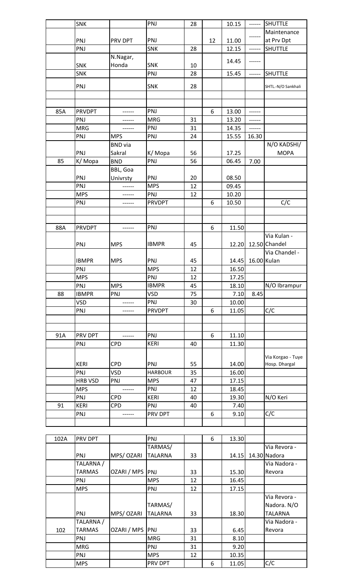|      | SNK            |                 | PNJ            | 28 |    | 10.15 | ------      | <b>SHUTTLE</b>       |
|------|----------------|-----------------|----------------|----|----|-------|-------------|----------------------|
|      |                |                 |                |    |    |       |             | Maintenance          |
|      | PNJ            | <b>PRV DPT</b>  | PNJ            |    | 12 | 11.00 | ------      | at Prv Dpt           |
|      | PNJ            |                 | <b>SNK</b>     | 28 |    | 12.15 | ------      | <b>SHUTTLE</b>       |
|      |                | N.Nagar,        |                |    |    |       |             |                      |
|      | <b>SNK</b>     | Honda           | <b>SNK</b>     | 10 |    | 14.45 | ------      |                      |
|      | SNK            |                 | PNJ            | 28 |    | 15.45 | ------      | <b>SHUTTLE</b>       |
|      |                |                 |                |    |    |       |             |                      |
|      | PNJ            |                 | <b>SNK</b>     | 28 |    |       |             | SHTL .- N/O Sankhali |
|      |                |                 |                |    |    |       |             |                      |
|      |                |                 |                |    |    |       |             |                      |
| 85A  | <b>PRVDPT</b>  |                 | PNJ            |    | 6  | 13.00 | ------      |                      |
|      | PNJ            | ------          | <b>MRG</b>     | 31 |    | 13.20 | ------      |                      |
|      | <b>MRG</b>     |                 | PNJ            | 31 |    | 14.35 | ------      |                      |
|      | PNJ            | <b>MPS</b>      | PNJ            | 24 |    | 15.55 | 16.30       |                      |
|      |                | <b>BND</b> via  |                |    |    |       |             | N/O KADSHI/          |
|      | PNJ            | Sakral          | K/Mopa         | 56 |    | 17.25 |             | <b>MOPA</b>          |
| 85   | K/Mopa         | <b>BND</b>      | PNJ            | 56 |    | 06.45 | 7.00        |                      |
|      |                | BBL, Goa        |                |    |    |       |             |                      |
|      | PNJ            | Univrsty        | PNJ            | 20 |    | 08.50 |             |                      |
|      | PNJ            |                 | <b>MPS</b>     | 12 |    | 09.45 |             |                      |
|      | <b>MPS</b>     | ------          | PNJ            | 12 |    | 10.20 |             |                      |
|      | PNJ            | ------          | <b>PRVDPT</b>  |    | 6  | 10.50 |             | C/C                  |
|      |                |                 |                |    |    |       |             |                      |
|      |                |                 |                |    |    |       |             |                      |
| 88A  | <b>PRVDPT</b>  |                 | PNJ            |    | 6  | 11.50 |             |                      |
|      |                |                 |                |    |    |       |             | Via Kulan -          |
|      | PNJ            | <b>MPS</b>      | <b>IBMPR</b>   | 45 |    | 12.20 |             | 12.50 Chandel        |
|      |                |                 |                |    |    |       |             | Via Chandel -        |
|      | <b>IBMPR</b>   | <b>MPS</b>      | PNJ            | 45 |    | 14.45 | 16.00 Kulan |                      |
|      | PNJ            |                 | <b>MPS</b>     | 12 |    | 16.50 |             |                      |
|      | <b>MPS</b>     |                 | PNJ            | 12 |    | 17.25 |             |                      |
|      | PNJ            | <b>MPS</b>      | <b>IBMPR</b>   | 45 |    | 18.10 |             | N/O Ibrampur         |
| 88   | <b>IBMPR</b>   | PNJ             | <b>VSD</b>     | 75 |    | 7.10  | 8.45        |                      |
|      | <b>VSD</b>     |                 | PNJ            |    |    | 10.00 |             |                      |
|      | PNJ            |                 | <b>PRVDPT</b>  | 30 | 6  |       |             | C/C                  |
|      |                |                 |                |    |    | 11.05 |             |                      |
|      |                |                 |                |    |    |       |             |                      |
|      | PRV DPT        |                 |                |    | 6  |       |             |                      |
| 91A  |                |                 | PNJ            |    |    | 11.10 |             |                      |
|      | PNJ            | <b>CPD</b>      | <b>KERI</b>    | 40 |    | 11.30 |             |                      |
|      |                |                 |                |    |    |       |             | Via Korgao - Tuye    |
|      | <b>KERI</b>    | <b>CPD</b>      | PNJ            | 55 |    | 14.00 |             | Hosp. Dhargal        |
|      | PNJ            | <b>VSD</b>      | <b>HARBOUR</b> | 35 |    | 16.00 |             |                      |
|      | <b>HRB VSD</b> | PNJ             | <b>MPS</b>     | 47 |    | 17.15 |             |                      |
|      | <b>MPS</b>     | ------          | PNJ            | 12 |    | 18.45 |             |                      |
|      | PNJ            | <b>CPD</b>      | <b>KERI</b>    | 40 |    | 19.30 |             | N/O Keri             |
| 91   | <b>KERI</b>    | <b>CPD</b>      | PNJ            | 40 |    | 7.40  |             |                      |
|      | PNJ            | ------          | PRV DPT        |    | 6  | 9.10  |             | C/C                  |
|      |                |                 |                |    |    |       |             |                      |
|      |                |                 |                |    |    |       |             |                      |
| 102A | PRV DPT        |                 | PNJ            |    | 6  | 13.30 |             |                      |
|      |                |                 | TARMAS/        |    |    |       |             | Via Revora -         |
|      | PNJ            | MPS/ OZARI      | <b>TALARNA</b> | 33 |    | 14.15 |             | 14.30 Nadora         |
|      | TALARNA /      |                 |                |    |    |       |             | Via Nadora -         |
|      | <b>TARMAS</b>  | OZARI / MPS     | PNJ            | 33 |    | 15.30 |             | Revora               |
|      | PNJ            |                 | <b>MPS</b>     | 12 |    | 16.45 |             |                      |
|      | <b>MPS</b>     |                 | PNJ            | 12 |    | 17.15 |             |                      |
|      |                |                 |                |    |    |       |             | Via Revora -         |
|      |                |                 | TARMAS/        |    |    |       |             | Nadora. N/O          |
|      | PNJ            | MPS/ OZARI      | <b>TALARNA</b> | 33 |    | 18.30 |             | <b>TALARNA</b>       |
|      |                |                 |                |    |    |       |             | Via Nadora -         |
|      | TALARNA /      |                 |                |    |    |       |             |                      |
| 102  | <b>TARMAS</b>  | OZARI / MPS PNJ |                | 33 |    | 6.45  |             | Revora               |
|      | PNJ            |                 | <b>MRG</b>     | 31 |    | 8.10  |             |                      |
|      | <b>MRG</b>     |                 | PNJ            | 31 |    | 9.20  |             |                      |
|      | PNJ            |                 | <b>MPS</b>     | 12 |    | 10.35 |             |                      |
|      | <b>MPS</b>     |                 | PRV DPT        |    | 6  | 11.05 |             | C/C                  |